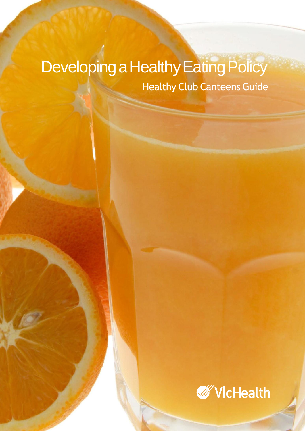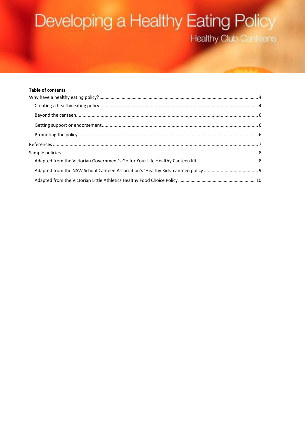#### **Table of contents**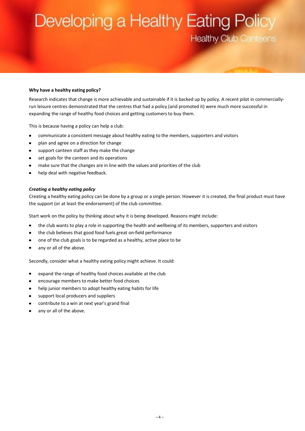#### <span id="page-3-0"></span>**Why have a healthy eating policy?**

Research indicates that change is more achievable and sustainable if it is backed up by policy. A recent pilot in commerciallyrun leisure centres demonstrated that the centres that had a policy (and promoted it) were much more successful in expanding the range of healthy food choices and getting customers to buy them.

This is because having a policy can help a club:

- $\bullet$ communicate a consistent message about healthy eating to the members, supporters and visitors
- $\bullet$ plan and agree on a direction for change
- $\bullet$ support canteen staff as they make the change
- set goals for the canteen and its operations
- make sure that the changes are in line with the values and priorities of the club  $\bullet$
- help deal with negative feedback.

#### <span id="page-3-1"></span>*Creating a healthy eating policy*

Creating a healthy eating policy can be done by a group or a single person. However it is created, the final product must have the support (or at least the endorsement) of the club committee.

Start work on the policy by thinking about why it is being developed. Reasons might include:

- the club wants to play a role in supporting the health and wellbeing of its members, supporters and visitors
- the club believes that good food fuels great on-field performance  $\bullet$
- $\bullet$ one of the club goals is to be regarded as a healthy, active place to be
- any or all of the above.

Secondly, consider what a healthy eating policy might achieve. It could:

- expand the range of healthy food choices available at the club  $\bullet$
- encourage members to make better food choices  $\bullet$
- help junior members to adopt healthy eating habits for life  $\bullet$
- support local producers and suppliers
- $\bullet$ contribute to a win at next year's grand final
- any or all of the above.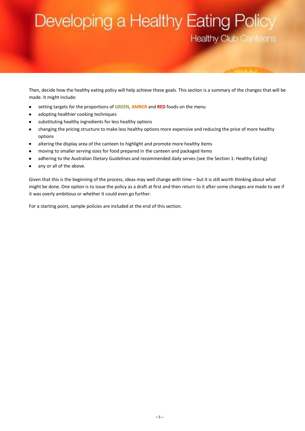Then, decide how the healthy eating policy will help achieve these goals. This section is a summary of the changes that will be made. It might include:

- $\bullet$ setting targets for the proportions of **GREEN**, **AMBER** and **RED** foods on the menu
- adopting healthier cooking techniques  $\bullet$
- substituting healthy ingredients for less healthy options  $\bullet$
- changing the pricing structure to make less healthy options more expensive and reducing the price of more healthy  $\bullet$ options
- altering the display area of the canteen to highlight and promote more healthy items  $\bullet$
- moving to smaller serving sizes for food prepared in the canteen and packaged items  $\bullet$
- adhering to the Australian Dietary Guidelines and recommended daily serves (see the Section 1: Healthy Eating)  $\bullet$
- any or all of the above.  $\bullet$

Given that this is the beginning of the process, ideas may well change with time – but it is still worth thinking about what might be done. One option is to issue the policy as a draft at first and then return to it after some changes are made to see if it was overly ambitious or whether it could even go further.

For a starting point, sample policies are included at the end of this section.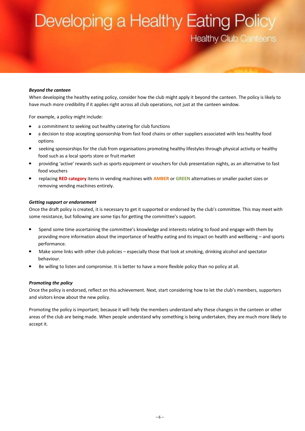#### <span id="page-5-0"></span>*Beyond the canteen*

When developing the healthy eating policy, consider how the club might apply it beyond the canteen. The policy is likely to have much more credibility if it applies right across all club operations, not just at the canteen window.

For example, a policy might include:

- a commitment to seeking out healthy catering for club functions
- a decision to stop accepting sponsorship from fast food chains or other suppliers associated with less healthy food options
- seeking sponsorships for the club from organisations promoting healthy lifestyles through physical activity or healthy food such as a local sports store or fruit market
- providing 'active' rewards such as sports equipment or vouchers for club presentation nights, as an alternative to fast food vouchers
- replacing **RED category** items in vending machines with **AMBER** or **GREEN** alternatives or smaller packet sizes or removing vending machines entirely.

#### <span id="page-5-1"></span>*Getting support or endorsement*

Once the draft policy is created, it is necessary to get it supported or endorsed by the club's committee. This may meet with some resistance, but following are some tips for getting the committee's support.

- Spend some time ascertaining the committee's knowledge and interests relating to food and engage with them by  $\bullet$ providing more information about the importance of healthy eating and its impact on health and wellbeing – and sports performance.
- Make some links with other club policies especially those that look at smoking, drinking alcohol and spectator behaviour.
- Be willing to listen and compromise. It is better to have a more flexible policy than no policy at all.

#### <span id="page-5-2"></span>*Promoting the policy*

Once the policy is endorsed, reflect on this achievement. Next, start considering how to let the club's members, supporters and visitors know about the new policy.

Promoting the policy is important; because it will help the members understand why these changes in the canteen or other areas of the club are being made. When people understand why something is being undertaken, they are much more likely to accept it.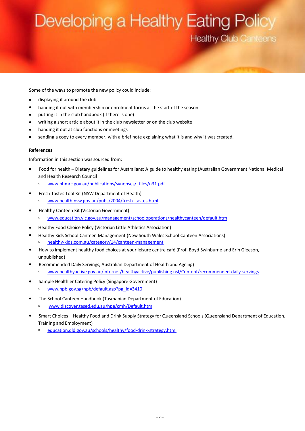Some of the ways to promote the new policy could include:

- $\bullet$ displaying it around the club
- $\bullet$ handing it out with membership or enrolment forms at the start of the season
- putting it in the club handbook (if there is one)
- writing a short article about it in the club newsletter or on the club website
- handing it out at club functions or meetings
- sending a copy to every member, with a brief note explaining what it is and why it was created.

#### <span id="page-6-0"></span>**References**

Information in this section was sourced from:

- Food for health Dietary guidelines for Australians: A guide to healthy eating (Australian Government National Medical and Health Research Council
	- [www.nhmrc.gov.au/publications/synopses/\\_files/n31.pdf](http://www.nhmrc.gov.au/publications/synopses/_files/n31.pdf)
- Fresh Tastes Tool Kit (NSW Department of Health)
	- [www.health.nsw.gov.au/pubs/2004/fresh\\_tastes.html](http://www.health.nsw.gov.au/pubs/2004/fresh_tastes.html)
- Healthy Canteen Kit (Victorian Government)
	- [www.education.vic.gov.au/management/schooloperations/healthycanteen/default.htm](http://www.education.vic.gov.au/management/schooloperations/healthycanteen/default.htm)
- Healthy Food Choice Policy (Victorian Little Athletics Association)
- Healthy Kids School Canteen Management (New South Wales School Canteen Associations) [healthy-kids.com.au/category/14/canteen-management](https://healthy-kids.com.au/category/14/canteen-management)
- How to implement healthy food choices at your leisure centre café (Prof. Boyd Swinburne and Erin Gleeson, unpublished)
- Recommended Daily Servings, Australian Department of Health and Ageing)
	- [www.healthyactive.gov.au/internet/healthyactive/publishing.nsf/Content/recommended-daily-servings](http://www.healthyactive.gov.au/internet/healthyactive/publishing.nsf/Content/recommended-daily-servings)
- Sample Healthier Catering Policy (Singapore Government)
	- [www.hpb.gov.sg/hpb/default.asp?pg\\_id=3410](http://www.hpb.gov.sg/hpb/default.asp?pg_id=3410)
- The School Canteen Handbook (Tasmanian Department of Education)
	- [www.discover.tased.edu.au/hpe/cmh/Default.htm](http://www.discover.tased.edu.au/hpe/cmh/s1-4.html)
- Smart Choices Healthy Food and Drink Supply Strategy for Queensland Schools (Queensland Department of Education, Training and Employment)
	- education.qld.gov.au/schools/healthy/food-drink-strategy.html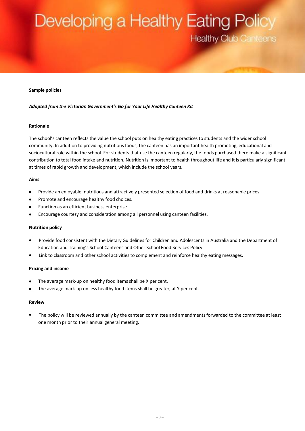#### <span id="page-7-0"></span>**Sample policies**

#### <span id="page-7-1"></span>*Adapted from the Victorian Government's Go for Your Life Healthy Canteen Kit*

#### **Rationale**

The school's canteen reflects the value the school puts on healthy eating practices to students and the wider school community. In addition to providing nutritious foods, the canteen has an important health promoting, educational and sociocultural role within the school. For students that use the canteen regularly, the foods purchased there make a significant contribution to total food intake and nutrition. Nutrition is important to health throughout life and it is particularly significant at times of rapid growth and development, which include the school years.

#### **Aims**

- Provide an enjoyable, nutritious and attractively presented selection of food and drinks at reasonable prices.
- Promote and encourage healthy food choices.  $\bullet$
- Function as an efficient business enterprise.
- Encourage courtesy and consideration among all personnel using canteen facilities.

#### **Nutrition policy**

- Provide food consistent with the Dietary Guidelines for Children and Adolescents in Australia and the Department of  $\bullet$ Education and Training's School Canteens and Other School Food Services Policy.
- Link to classroom and other school activities to complement and reinforce healthy eating messages.

#### **Pricing and income**

- The average mark-up on healthy food items shall be X per cent.
- The average mark-up on less healthy food items shall be greater, at Y per cent.

#### **Review**

 The policy will be reviewed annually by the canteen committee and amendments forwarded to the committee at least one month prior to their annual general meeting.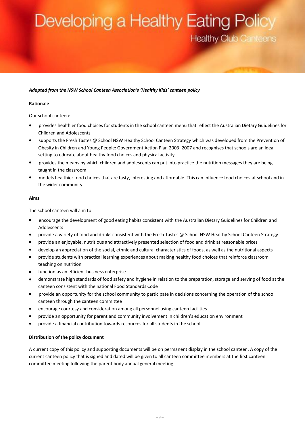#### <span id="page-8-0"></span>*Adapted from the NSW School Canteen Association's 'Healthy Kids' canteen policy*

#### **Rationale**

Our school canteen:

- provides healthier food choices for students in the school canteen menu that reflect the Australian Dietary Guidelines for Children and Adolescents
- supports the Fresh Tastes @ School NSW Healthy School Canteen Strategy which was developed from the Prevention of Obesity in Children and Young People: Government Action Plan 2003–2007 and recognises that schools are an ideal setting to educate about healthy food choices and physical activity
- provides the means by which children and adolescents can put into practice the nutrition messages they are being taught in the classroom
- models healthier food choices that are tasty, interesting and affordable. This can influence food choices at school and in the wider community.

#### **Aims**

The school canteen will aim to:

- encourage the development of good eating habits consistent with the Australian Dietary Guidelines for Children and Adolescents
- provide a variety of food and drinks consistent with the Fresh Tastes @ School NSW Healthy School Canteen Strategy  $\bullet$
- provide an enjoyable, nutritious and attractively presented selection of food and drink at reasonable prices
- develop an appreciation of the social, ethnic and cultural characteristics of foods, as well as the nutritional aspects
- provide students with practical learning experiences about making healthy food choices that reinforce classroom teaching on nutrition
- function as an efficient business enterprise
- demonstrate high standards of food safety and hygiene in relation to the preparation, storage and serving of food at the canteen consistent with the national Food Standards Code
- provide an opportunity for the school community to participate in decisions concerning the operation of the school canteen through the canteen committee
- encourage courtesy and consideration among all personnel using canteen facilities
- provide an opportunity for parent and community involvement in children's education environment
- provide a financial contribution towards resources for all students in the school.

#### **Distribution of the policy document**

A current copy of this policy and supporting documents will be on permanent display in the school canteen. A copy of the current canteen policy that is signed and dated will be given to all canteen committee members at the first canteen committee meeting following the parent body annual general meeting.